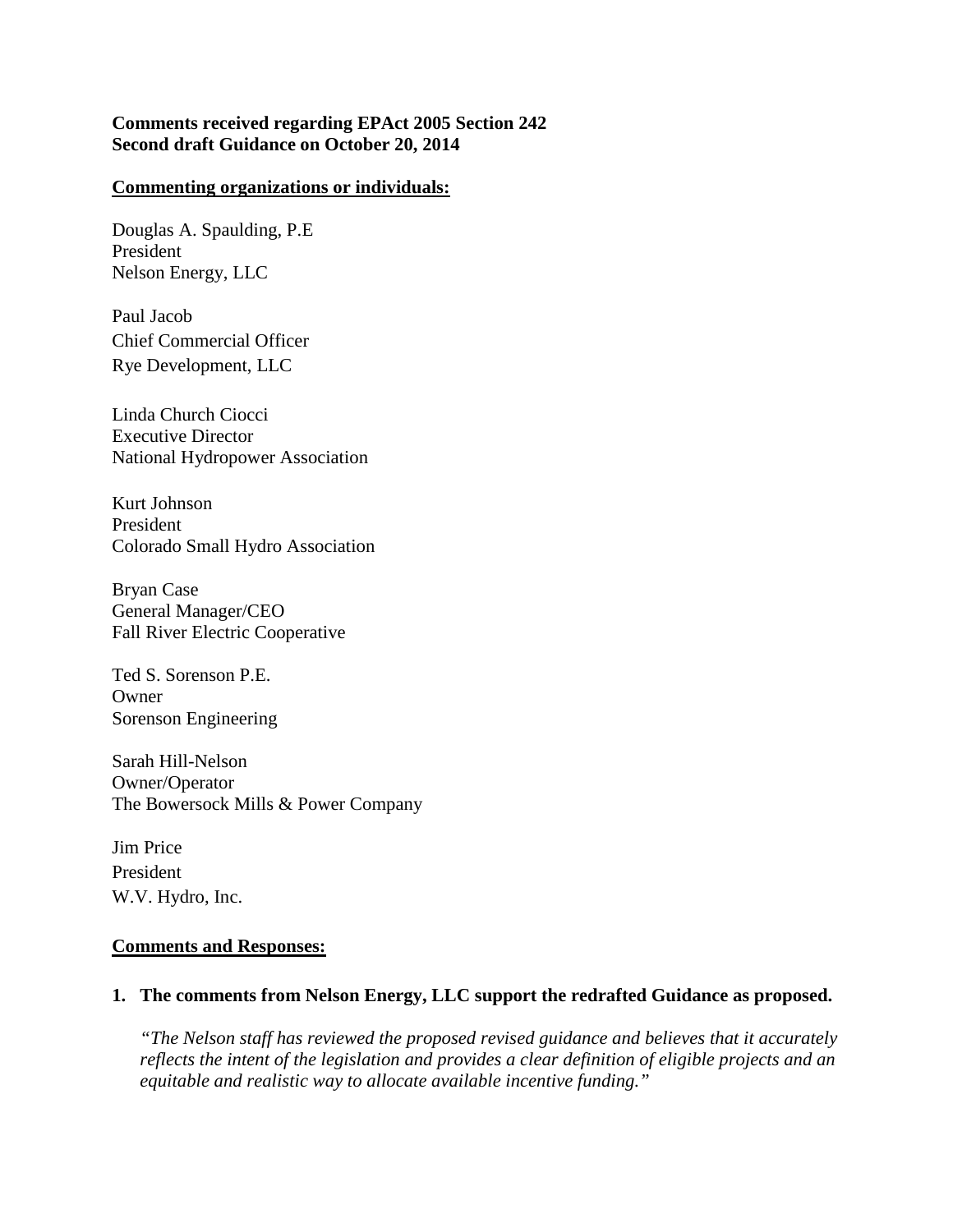### **Comments received regarding EPAct 2005 Section 242 Second draft Guidance on October 20, 2014**

#### **Commenting organizations or individuals:**

Douglas A. Spaulding, P.E President Nelson Energy, LLC

Paul Jacob Chief Commercial Officer Rye Development, LLC

Linda Church Ciocci Executive Director National Hydropower Association

Kurt Johnson President Colorado Small Hydro Association

Bryan Case General Manager/CEO Fall River Electric Cooperative

Ted S. Sorenson P.E. Owner Sorenson Engineering

Sarah Hill-Nelson Owner/Operator The Bowersock Mills & Power Company

Jim Price President W.V. Hydro, Inc.

#### **Comments and Responses:**

#### **1. The comments from Nelson Energy, LLC support the redrafted Guidance as proposed.**

*"The Nelson staff has reviewed the proposed revised guidance and believes that it accurately reflects the intent of the legislation and provides a clear definition of eligible projects and an equitable and realistic way to allocate available incentive funding."*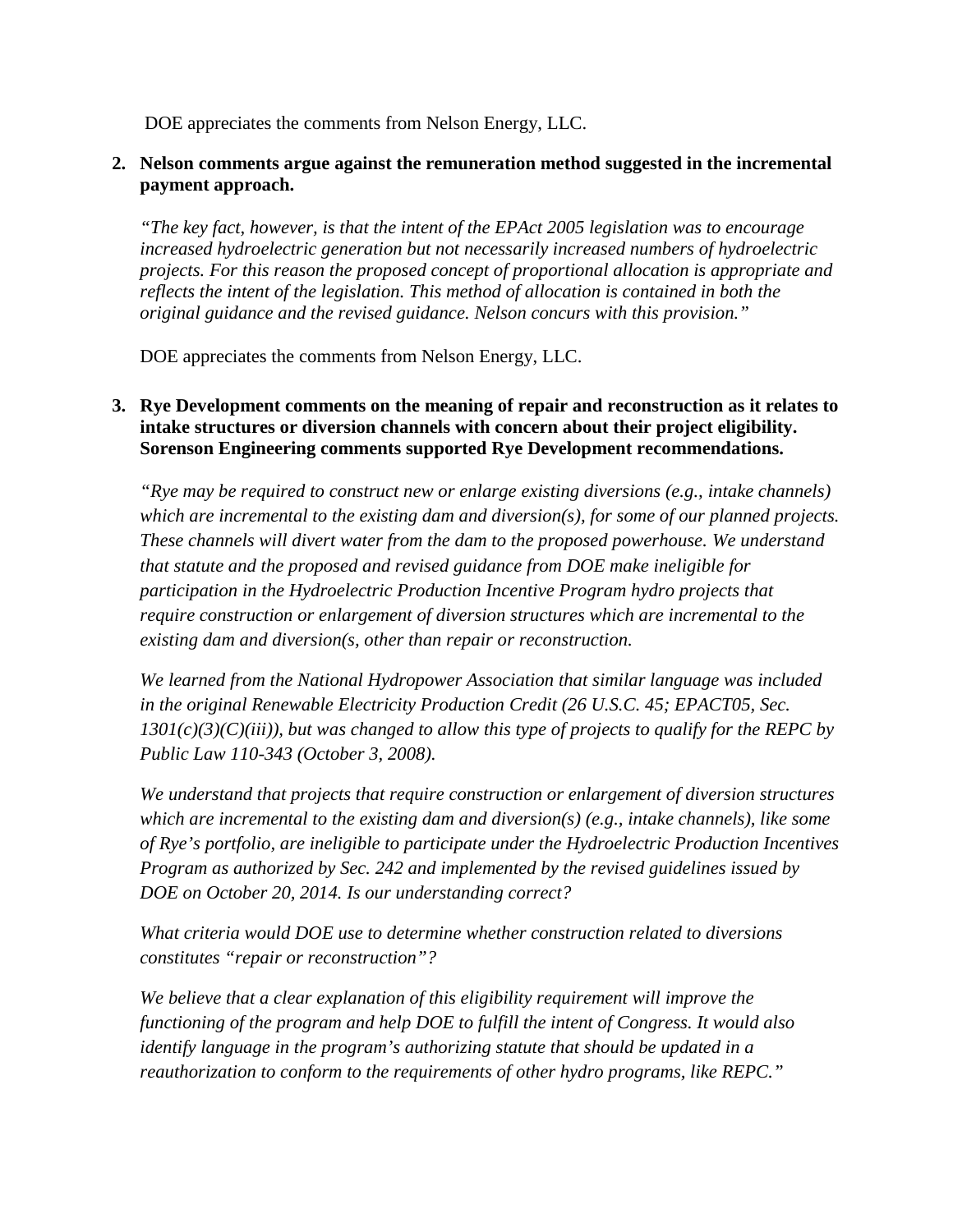DOE appreciates the comments from Nelson Energy, LLC.

## **2. Nelson comments argue against the remuneration method suggested in the incremental payment approach.**

*"The key fact, however, is that the intent of the EPAct 2005 legislation was to encourage increased hydroelectric generation but not necessarily increased numbers of hydroelectric projects. For this reason the proposed concept of proportional allocation is appropriate and reflects the intent of the legislation. This method of allocation is contained in both the original guidance and the revised guidance. Nelson concurs with this provision."*

DOE appreciates the comments from Nelson Energy, LLC.

# **3. Rye Development comments on the meaning of repair and reconstruction as it relates to intake structures or diversion channels with concern about their project eligibility. Sorenson Engineering comments supported Rye Development recommendations.**

*"Rye may be required to construct new or enlarge existing diversions (e.g., intake channels) which are incremental to the existing dam and diversion(s), for some of our planned projects. These channels will divert water from the dam to the proposed powerhouse. We understand that statute and the proposed and revised guidance from DOE make ineligible for participation in the Hydroelectric Production Incentive Program hydro projects that require construction or enlargement of diversion structures which are incremental to the existing dam and diversion(s, other than repair or reconstruction.* 

*We learned from the National Hydropower Association that similar language was included in the original Renewable Electricity Production Credit (26 U.S.C. 45; EPACT05, Sec. 1301(c)(3)(C)(iii)), but was changed to allow this type of projects to qualify for the REPC by Public Law 110-343 (October 3, 2008).* 

*We understand that projects that require construction or enlargement of diversion structures which are incremental to the existing dam and diversion(s) (e.g., intake channels), like some of Rye's portfolio, are ineligible to participate under the Hydroelectric Production Incentives Program as authorized by Sec. 242 and implemented by the revised guidelines issued by DOE on October 20, 2014. Is our understanding correct?*

*What criteria would DOE use to determine whether construction related to diversions constitutes "repair or reconstruction"?*

*We believe that a clear explanation of this eligibility requirement will improve the functioning of the program and help DOE to fulfill the intent of Congress. It would also identify language in the program's authorizing statute that should be updated in a reauthorization to conform to the requirements of other hydro programs, like REPC."*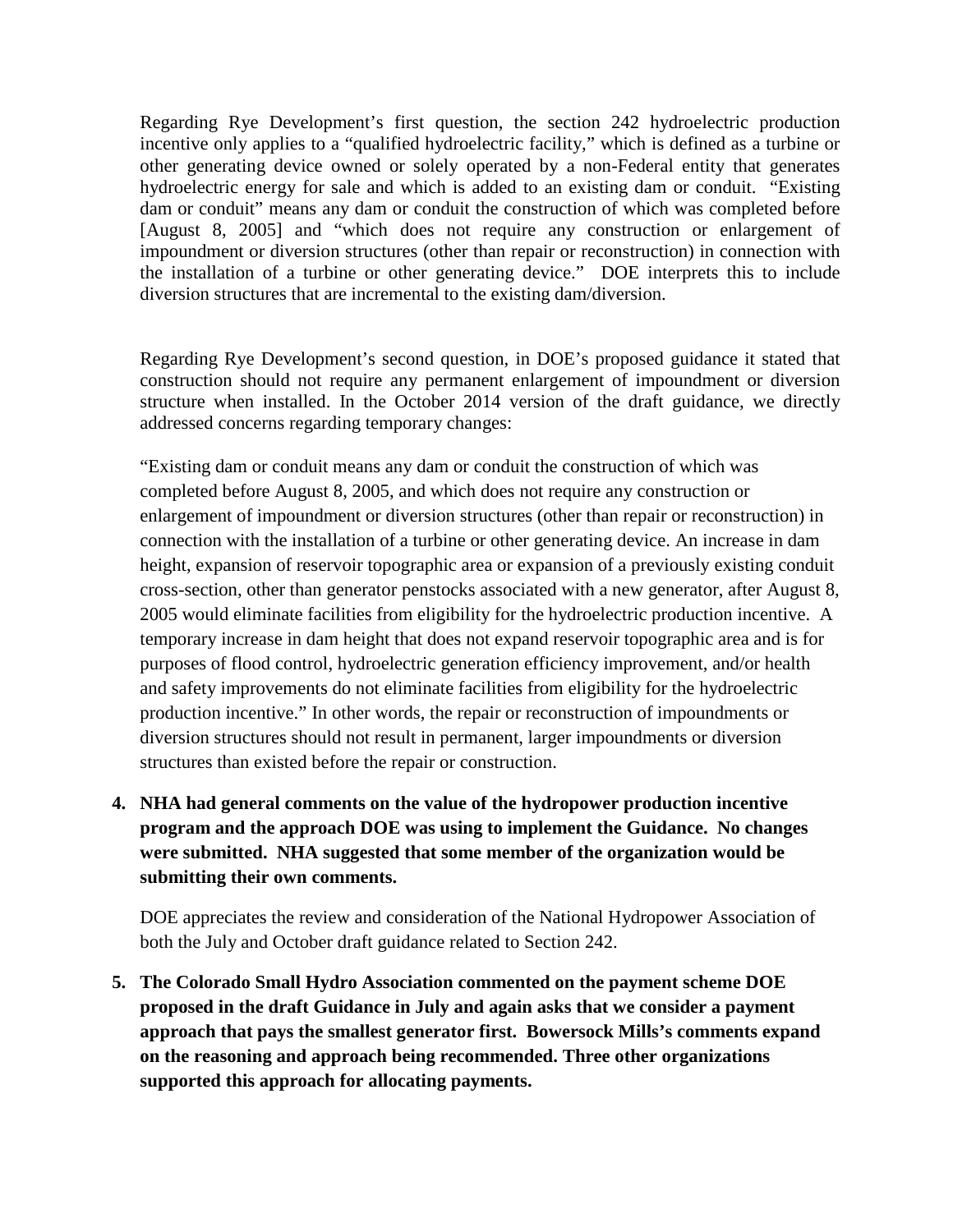Regarding Rye Development's first question, the section 242 hydroelectric production incentive only applies to a "qualified hydroelectric facility," which is defined as a turbine or other generating device owned or solely operated by a non-Federal entity that generates hydroelectric energy for sale and which is added to an existing dam or conduit. "Existing dam or conduit" means any dam or conduit the construction of which was completed before [August 8, 2005] and "which does not require any construction or enlargement of impoundment or diversion structures (other than repair or reconstruction) in connection with the installation of a turbine or other generating device." DOE interprets this to include diversion structures that are incremental to the existing dam/diversion.

Regarding Rye Development's second question, in DOE's proposed guidance it stated that construction should not require any permanent enlargement of impoundment or diversion structure when installed. In the October 2014 version of the draft guidance, we directly addressed concerns regarding temporary changes:

"Existing dam or conduit means any dam or conduit the construction of which was completed before August 8, 2005, and which does not require any construction or enlargement of impoundment or diversion structures (other than repair or reconstruction) in connection with the installation of a turbine or other generating device. An increase in dam height, expansion of reservoir topographic area or expansion of a previously existing conduit cross-section, other than generator penstocks associated with a new generator, after August 8, 2005 would eliminate facilities from eligibility for the hydroelectric production incentive. A temporary increase in dam height that does not expand reservoir topographic area and is for purposes of flood control, hydroelectric generation efficiency improvement, and/or health and safety improvements do not eliminate facilities from eligibility for the hydroelectric production incentive." In other words, the repair or reconstruction of impoundments or diversion structures should not result in permanent, larger impoundments or diversion structures than existed before the repair or construction.

**4. NHA had general comments on the value of the hydropower production incentive program and the approach DOE was using to implement the Guidance. No changes were submitted. NHA suggested that some member of the organization would be submitting their own comments.**

DOE appreciates the review and consideration of the National Hydropower Association of both the July and October draft guidance related to Section 242.

**5. The Colorado Small Hydro Association commented on the payment scheme DOE proposed in the draft Guidance in July and again asks that we consider a payment approach that pays the smallest generator first. Bowersock Mills's comments expand on the reasoning and approach being recommended. Three other organizations supported this approach for allocating payments.**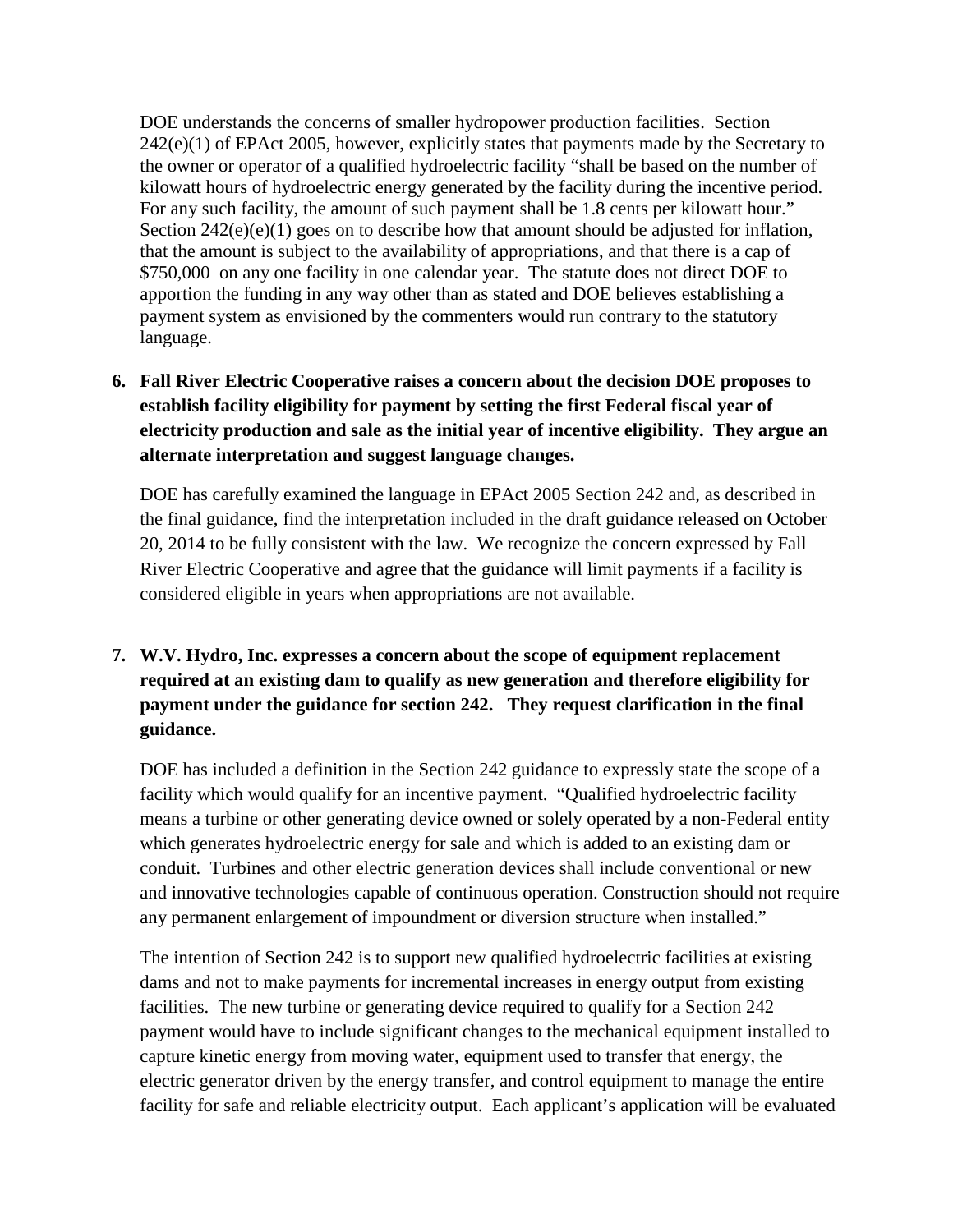DOE understands the concerns of smaller hydropower production facilities. Section  $242(e)(1)$  of EPAct 2005, however, explicitly states that payments made by the Secretary to the owner or operator of a qualified hydroelectric facility "shall be based on the number of kilowatt hours of hydroelectric energy generated by the facility during the incentive period. For any such facility, the amount of such payment shall be 1.8 cents per kilowatt hour." Section  $242(e)(e)(1)$  goes on to describe how that amount should be adjusted for inflation, that the amount is subject to the availability of appropriations, and that there is a cap of \$750,000 on any one facility in one calendar year. The statute does not direct DOE to apportion the funding in any way other than as stated and DOE believes establishing a payment system as envisioned by the commenters would run contrary to the statutory language.

**6. Fall River Electric Cooperative raises a concern about the decision DOE proposes to establish facility eligibility for payment by setting the first Federal fiscal year of electricity production and sale as the initial year of incentive eligibility. They argue an alternate interpretation and suggest language changes.**

DOE has carefully examined the language in EPAct 2005 Section 242 and, as described in the final guidance, find the interpretation included in the draft guidance released on October 20, 2014 to be fully consistent with the law. We recognize the concern expressed by Fall River Electric Cooperative and agree that the guidance will limit payments if a facility is considered eligible in years when appropriations are not available.

**7. W.V. Hydro, Inc. expresses a concern about the scope of equipment replacement required at an existing dam to qualify as new generation and therefore eligibility for payment under the guidance for section 242. They request clarification in the final guidance.**

DOE has included a definition in the Section 242 guidance to expressly state the scope of a facility which would qualify for an incentive payment. "Qualified hydroelectric facility means a turbine or other generating device owned or solely operated by a non-Federal entity which generates hydroelectric energy for sale and which is added to an existing dam or conduit. Turbines and other electric generation devices shall include conventional or new and innovative technologies capable of continuous operation. Construction should not require any permanent enlargement of impoundment or diversion structure when installed."

The intention of Section 242 is to support new qualified hydroelectric facilities at existing dams and not to make payments for incremental increases in energy output from existing facilities. The new turbine or generating device required to qualify for a Section 242 payment would have to include significant changes to the mechanical equipment installed to capture kinetic energy from moving water, equipment used to transfer that energy, the electric generator driven by the energy transfer, and control equipment to manage the entire facility for safe and reliable electricity output. Each applicant's application will be evaluated